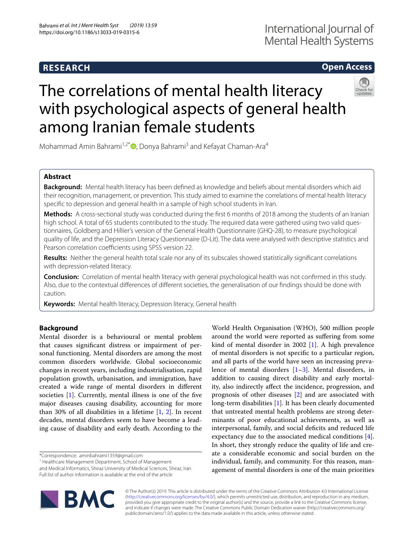## **RESEARCH**

## International Journal of Mental Health Systems

## **Open Access**

# The correlations of mental health literacy with psychological aspects of general health among Iranian female students



Mohammad Amin Bahrami<sup>1[,](http://orcid.org/0000-0003-2276-7440)2\*</sup> (D, Donya Bahrami<sup>3</sup> and Kefayat Chaman-Ara<sup>4</sup>

## **Abstract**

**Background:** Mental health literacy has been defned as knowledge and beliefs about mental disorders which aid their recognition, management, or prevention. This study aimed to examine the correlations of mental health literacy specifc to depression and general health in a sample of high school students in Iran.

**Methods:** A cross-sectional study was conducted during the frst 6 months of 2018 among the students of an Iranian high school. A total of 65 students contributed to the study. The required data were gathered using two valid questionnaires, Goldberg and Hillier's version of the General Health Questionnaire (GHQ-28), to measure psychological quality of life, and the Depression Literacy Questionnaire (D-Lit). The data were analysed with descriptive statistics and Pearson correlation coefficients using SPSS version 22.

**Results:** Neither the general health total scale nor any of its subscales showed statistically signifcant correlations with depression-related literacy.

**Conclusion:** Correlation of mental health literacy with general psychological health was not confrmed in this study. Also, due to the contextual diferences of diferent societies, the generalisation of our fndings should be done with caution.

**Keywords:** Mental health literacy, Depression literacy, General health

## **Background**

Mental disorder is a behavioural or mental problem that causes signifcant distress or impairment of personal functioning. Mental disorders are among the most common disorders worldwide. Global socioeconomic changes in recent years, including industrialisation, rapid population growth, urbanisation, and immigration, have created a wide range of mental disorders in diferent societies [\[1](#page-6-0)]. Currently, mental illness is one of the fve major diseases causing disability, accounting for more than 30% of all disabilities in a lifetime [[1,](#page-6-0) [2\]](#page-6-1). In recent decades, mental disorders seem to have become a leading cause of disability and early death. According to the

\*Correspondence: aminbahrami1359@gmail.com

<sup>1</sup> Healthcare Management Department, School of Management and Medical Informatics, Shiraz University of Medical Sciences, Shiraz, Iran Full list of author information is available at the end of the article

World Health Organisation (WHO), 500 million people around the world were reported as sufering from some kind of mental disorder in 2002 [[1\]](#page-6-0). A high prevalence of mental disorders is not specifc to a particular region, and all parts of the world have seen an increasing prevalence of mental disorders [\[1](#page-6-0)[–3\]](#page-6-2). Mental disorders, in addition to causing direct disability and early mortality, also indirectly afect the incidence, progression, and prognosis of other diseases [[2\]](#page-6-1) and are associated with long-term disabilities [[1\]](#page-6-0). It has been clearly documented that untreated mental health problems are strong determinants of poor educational achievements, as well as interpersonal, family, and social defcits and reduced life expectancy due to the associated medical conditions [\[4](#page-6-3)]. In short, they strongly reduce the quality of life and create a considerable economic and social burden on the individual, family, and community. For this reason, management of mental disorders is one of the main priorities



© The Author(s) 2019. This article is distributed under the terms of the Creative Commons Attribution 4.0 International License [\(http://creativecommons.org/licenses/by/4.0/\)](http://creativecommons.org/licenses/by/4.0/), which permits unrestricted use, distribution, and reproduction in any medium, provided you give appropriate credit to the original author(s) and the source, provide a link to the Creative Commons license, and indicate if changes were made. The Creative Commons Public Domain Dedication waiver (http://creativecommons.org/ publicdomain/zero/1.0/) applies to the data made available in this article, unless otherwise stated.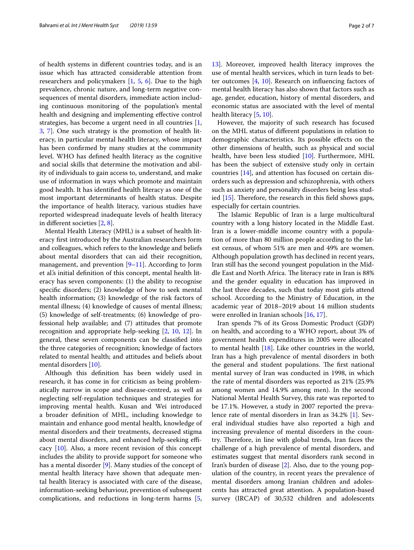of health systems in diferent countries today, and is an issue which has attracted considerable attention from researchers and policymakers  $[1, 5, 6]$  $[1, 5, 6]$  $[1, 5, 6]$  $[1, 5, 6]$  $[1, 5, 6]$ . Due to the high prevalence, chronic nature, and long-term negative consequences of mental disorders, immediate action including continuous monitoring of the population's mental health and designing and implementing effective control strategies, has become a urgent need in all countries [\[1](#page-6-0), [3,](#page-6-2) [7\]](#page-6-6). One such strategy is the promotion of health literacy, in particular mental health literacy, whose impact has been confrmed by many studies at the community level. WHO has defned health literacy as the cognitive and social skills that determine the motivation and ability of individuals to gain access to, understand, and make use of information in ways which promote and maintain good health. It has identifed health literacy as one of the most important determinants of health status. Despite the importance of health literacy, various studies have reported widespread inadequate levels of health literacy in diferent societies [[2,](#page-6-1) [8\]](#page-6-7).

Mental Health Literacy (MHL) is a subset of health literacy frst introduced by the Australian researchers Jorm and colleagues, which refers to the knowledge and beliefs about mental disorders that can aid their recognition, management, and prevention [\[9](#page-6-8)[–11\]](#page-6-9). According to Jorm et al.'s initial defnition of this concept, mental health literacy has seven components: (1) the ability to recognise specifc disorders; (2) knowledge of how to seek mental health information; (3) knowledge of the risk factors of mental illness; (4) knowledge of causes of mental illness; (5) knowledge of self-treatments; (6) knowledge of professional help available; and (7) attitudes that promote recognition and appropriate help-seeking [\[2](#page-6-1), [10,](#page-6-10) [12\]](#page-6-11). In general, these seven components can be classifed into the three categories of recognition; knowledge of factors related to mental health; and attitudes and beliefs about mental disorders [[10\]](#page-6-10).

Although this defnition has been widely used in research, it has come in for criticism as being problematically narrow in scope and disease-centred, as well as neglecting self-regulation techniques and strategies for improving mental health. Kusan and Wei introduced a broader defnition of MHL, including knowledge to maintain and enhance good mental health, knowledge of mental disorders and their treatments, decreased stigma about mental disorders, and enhanced help-seeking efficacy  $[10]$ . Also, a more recent revision of this concept includes the ability to provide support for someone who has a mental disorder [\[9\]](#page-6-8). Many studies of the concept of mental health literacy have shown that adequate mental health literacy is associated with care of the disease, information-seeking behaviour, prevention of subsequent complications, and reductions in long-term harms [\[5](#page-6-4),

[13\]](#page-6-12). Moreover, improved health literacy improves the use of mental health services, which in turn leads to better outcomes [[4,](#page-6-3) [10](#page-6-10)]. Research on infuencing factors of mental health literacy has also shown that factors such as age, gender, education, history of mental disorders, and economic status are associated with the level of mental health literacy [\[5](#page-6-4), [10\]](#page-6-10).

However, the majority of such research has focused on the MHL status of diferent populations in relation to demographic characteristics. Its possible efects on the other dimensions of health, such as physical and social health, have been less studied  $[10]$  $[10]$  $[10]$ . Furthermore, MHL has been the subject of extensive study only in certain countries [\[14](#page-6-13)], and attention has focused on certain disorders such as depression and schizophrenia, with others such as anxiety and personality disorders being less studied  $[15]$  $[15]$ . Therefore, the research in this field shows gaps, especially for certain countries.

The Islamic Republic of Iran is a large multicultural country with a long history located in the Middle East. Iran is a lower-middle income country with a population of more than 80 million people according to the latest census, of whom 51% are men and 49% are women. Although population growth has declined in recent years, Iran still has the second youngest population in the Middle East and North Africa. The literacy rate in Iran is 88% and the gender equality in education has improved in the last three decades, such that today most girls attend school. According to the Ministry of Education, in the academic year of 2018–2019 about 14 million students were enrolled in Iranian schools [[16,](#page-6-15) [17](#page-6-16)].

Iran spends 7% of its Gross Domestic Product (GDP) on health, and according to a WHO report, about 3% of government health expenditures in 2005 were allocated to mental health [[18\]](#page-6-17). Like other countries in the world, Iran has a high prevalence of mental disorders in both the general and student populations. The first national mental survey of Iran was conducted in 1998, in which the rate of mental disorders was reported as 21% (25.9% among women and 14.9% among men). In the second National Mental Health Survey, this rate was reported to be 17.1%. However, a study in 2007 reported the prevalence rate of mental disorders in Iran as 34.2% [[1\]](#page-6-0). Several individual studies have also reported a high and increasing prevalence of mental disorders in the country. Therefore, in line with global trends, Iran faces the challenge of a high prevalence of mental disorders, and estimates suggest that mental disorders rank second in Iran's burden of disease [\[2](#page-6-1)]. Also, due to the young population of the country, in recent years the prevalence of mental disorders among Iranian children and adolescents has attracted great attention. A population-based survey (IRCAP) of 30,532 children and adolescents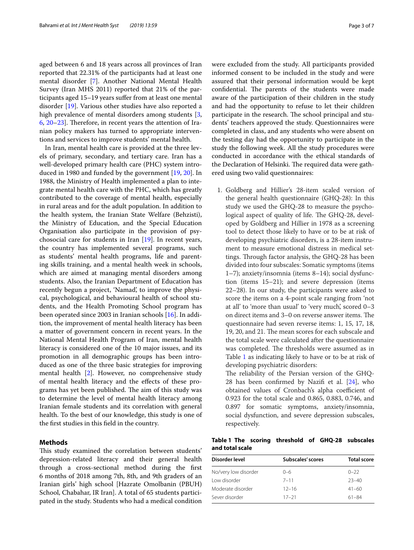aged between 6 and 18 years across all provinces of Iran reported that 22.31% of the participants had at least one mental disorder [[7\]](#page-6-6). Another National Mental Health Survey (Iran MHS 2011) reported that 21% of the participants aged 15–19 years suffer from at least one mental disorder [\[19\]](#page-6-18). Various other studies have also reported a high prevalence of mental disorders among students [\[3](#page-6-2), [6,](#page-6-5)  $20-23$  $20-23$ . Therefore, in recent years the attention of Iranian policy makers has turned to appropriate interventions and services to improve students' mental health.

In Iran, mental health care is provided at the three levels of primary, secondary, and tertiary care. Iran has a well-developed primary health care (PHC) system introduced in 1980 and funded by the government [\[19](#page-6-18), [20\]](#page-6-19). In 1988, the Ministry of Health implemented a plan to integrate mental health care with the PHC, which has greatly contributed to the coverage of mental health, especially in rural areas and for the adult population. In addition to the health system, the Iranian State Welfare (Behzisti), the Ministry of Education, and the Special Education Organisation also participate in the provision of psychosocial care for students in Iran [\[19\]](#page-6-18). In recent years, the country has implemented several programs, such as students' mental health programs, life and parenting skills training, and a mental health week in schools, which are aimed at managing mental disorders among students. Also, the Iranian Department of Education has recently begun a project, 'Namad', to improve the physical, psychological, and behavioural health of school students, and the Health Promoting School program has been operated since 2003 in Iranian schools [[16](#page-6-15)]. In addition, the improvement of mental health literacy has been a matter of government concern in recent years. In the National Mental Health Program of Iran, mental health literacy is considered one of the 10 major issues, and its promotion in all demographic groups has been introduced as one of the three basic strategies for improving mental health [[2\]](#page-6-1). However, no comprehensive study of mental health literacy and the efects of these programs has yet been published. The aim of this study was to determine the level of mental health literacy among Iranian female students and its correlation with general health. To the best of our knowledge, this study is one of the frst studies in this feld in the country.

## **Methods**

This study examined the correlation between students' depression-related literacy and their general health through a cross-sectional method during the frst 6 months of 2018 among 7th, 8th, and 9th graders of an Iranian girls' high school [Hazrate Omolbanin (PBUH) School, Chabahar, IR Iran]. A total of 65 students participated in the study. Students who had a medical condition were excluded from the study. All participants provided informed consent to be included in the study and were assured that their personal information would be kept confidential. The parents of the students were made aware of the participation of their children in the study and had the opportunity to refuse to let their children participate in the research. The school principal and students' teachers approved the study. Questionnaires were completed in class, and any students who were absent on the testing day had the opportunity to participate in the study the following week. All the study procedures were conducted in accordance with the ethical standards of the Declaration of Helsinki. The required data were gathered using two valid questionnaires:

1. Goldberg and Hillier's 28-item scaled version of the general health questionnaire (GHQ-28): In this study we used the GHQ-28 to measure the psychological aspect of quality of life. The GHQ-28, developed by Goldberg and Hillier in 1978 as a screening tool to detect those likely to have or to be at risk of developing psychiatric disorders, is a 28-item instrument to measure emotional distress in medical settings. Through factor analysis, the GHQ-28 has been divided into four subscales: Somatic symptoms (items 1–7); anxiety/insomnia (items 8–14); social dysfunction (items 15–21); and severe depression (items 22–28). In our study, the participants were asked to score the items on a 4-point scale ranging from 'not at all' to 'more than usual' to 'very much', scored 0–3 on direct items and 3–0 on reverse answer items. The questionnaire had seven reverse items: 1, 15, 17, 18, 19, 20, and 21. The mean scores for each subscale and the total scale were calculated after the questionnaire was completed. The thresholds were assumed as in Table [1](#page-2-0) as indicating likely to have or to be at risk of developing psychiatric disorders:

The reliability of the Persian version of the GHQ-28 has been confrmed by Nazif et al. [\[24](#page-6-21)], who obtained values of Cronbach's alpha coefficient of 0.923 for the total scale and 0.865, 0.883, 0.746, and 0.897 for somatic symptoms, anxiety/insomnia, social dysfunction, and severe depression subscales, respectively.

<span id="page-2-0"></span>**Table 1 The scoring threshold of GHQ-28 subscales and total scale**

| Disorder level       | Subscales' scores | <b>Total score</b> |  |  |
|----------------------|-------------------|--------------------|--|--|
| No/very low disorder | $0 - 6$           | $0 - 22$           |  |  |
| Low disorder         | $7 - 11$          | $23 - 40$          |  |  |
| Moderate disorder    | $12 - 16$         | $41 - 60$          |  |  |
| Sever disorder       | $17 - 21$         | $61 - 84$          |  |  |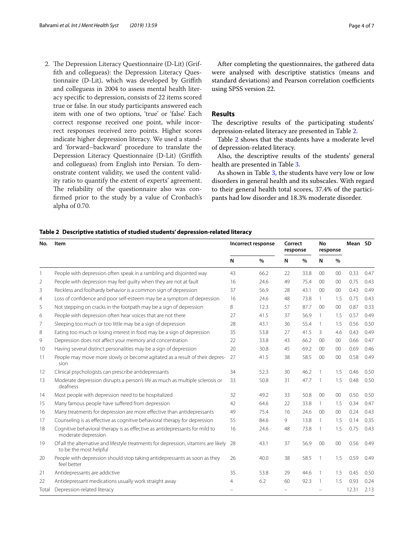2. The Depression Literacy Questionnaire (D-Lit) (Griffth and collegueas): the Depression Literacy Questionnaire (D-Lit), which was developed by Grifth and collegueas in 2004 to assess mental health literacy specifc to depression, consists of 22 items scored true or false. In our study participants answered each item with one of two options, 'true' or 'false'. Each correct response received one point, while incorrect responses received zero points. Higher scores indicate higher depression literacy. We used a standard 'forward–backward' procedure to translate the Depression Literacy Questionnaire (D-Lit) (Grifth and collegueas) from English into Persian. To demonstrate content validity, we used the content validity ratio to quantify the extent of experts' agreement. The reliability of the questionnaire also was confrmed prior to the study by a value of Cronbach's alpha of 0.70.

After completing the questionnaires, the gathered data were analysed with descriptive statistics (means and standard deviations) and Pearson correlation coefficients using SPSS version 22.

## **Results**

The descriptive results of the participating students' depression-related literacy are presented in Table [2.](#page-3-0)

Table [2](#page-3-0) shows that the students have a moderate level of depression-related literacy.

Also, the descriptive results of the students' general health are presented in Table [3.](#page-4-0)

As shown in Table [3](#page-4-0), the students have very low or low disorders in general health and its subscales. With regard to their general health total scores, 37.4% of the participants had low disorder and 18.3% moderate disorder.

#### <span id="page-3-0"></span>**Table 2 Descriptive statistics of studied students' depression-related literacy**

| No.   | Item                                                                                                          |                | Incorrect response |    | Correct<br>response |                 | No<br>response  |       | Mean SD |
|-------|---------------------------------------------------------------------------------------------------------------|----------------|--------------------|----|---------------------|-----------------|-----------------|-------|---------|
|       |                                                                                                               | N              | $\%$               | N  | $\%$                | N               | %               |       |         |
| 1     | People with depression often speak in a rambling and disjointed way                                           | 43             | 66.2               | 22 | 33.8                | $00\,$          | $00\,$          | 0.33  | 0.47    |
| 2     | People with depression may feel quilty when they are not at fault                                             | 16             | 24.6               | 49 | 75.4                | $00\,$          | $00\,$          | 0.75  | 0.43    |
| 3     | Reckless and foolhardy behavior is a common sign of depression                                                | 37             | 56.9               | 28 | 43.1                | 00 <sup>0</sup> | $00\,$          | 0.43  | 0.49    |
| 4     | Loss of confidence and poor self-esteem may be a symptom of depression                                        | 16             | 24.6               | 48 | 73.8                | 1               | 1.5             | 0.75  | 0.43    |
| 5     | Not stepping on cracks in the footpath may be a sign of depression                                            | 8              | 12.3               | 57 | 87.7                | 00              | $00\,$          | 0.87  | 0.33    |
| 6     | People with depression often hear voices that are not there                                                   | 27             | 41.5               | 37 | 56.9                | $\overline{1}$  | 1.5             | 0.57  | 0.49    |
| 7     | Sleeping too much or too little may be a sign of depression                                                   | 28             | 43.1               | 36 | 55.4                | $\overline{1}$  | 1.5             | 0.56  | 0.50    |
| 8     | Eating too much or losing interest in food may be a sign of depression                                        | 35             | 53.8               | 27 | 41.5                | 3               | 4.6             | 0.43  | 0.49    |
| 9     | Depression does not affect your memory and concentration                                                      | 22             | 33.8               | 43 | 66.2                | 00 <sup>0</sup> | $00\,$          | 0.66  | 0.47    |
| 10    | Having several distinct personalities may be a sign of depression                                             | 20             | 30.8               | 45 | 69.2                | $00\,$          | $00\,$          | 0.69  | 0.46    |
| 11    | People may move more slowly or become agitated as a result of their depres-<br>sion                           | 27             | 41.5               | 38 | 58.5                | $00\,$          | $00\,$          | 0.58  | 0.49    |
| 12    | Clinical psychologists can prescribe antidepressants                                                          | 34             | 52.3               | 30 | 46.2                |                 | 1.5             | 0.46  | 0.50    |
| 13    | Moderate depression disrupts a person's life as much as multiple sclerosis or<br>deafness                     | 33             | 50.8               | 31 | 47.7                | 1               | 1.5             | 0.48  | 0.50    |
| 14    | Most people with depression need to be hospitalized                                                           | 32             | 49.2               | 33 | 50.8                | 00              | $00\,$          | 0.50  | 0.50    |
| 15    | Many famous people have suffered from depression                                                              | 42             | 64.6               | 22 | 33.8                | $\mathbf{1}$    | 1.5             | 0.34  | 0.47    |
| 16    | Many treatments for depression are more effective than antidepressants                                        | 49             | 75.4               | 16 | 24.6                | 00 <sup>0</sup> | 00 <sup>0</sup> | 0.24  | 0.43    |
| 17    | Counseling is as effective as cognitive behavioral therapy for depression                                     | 55             | 84.6               | 9  | 13.8                | 1               | 1.5             | 0.14  | 0.35    |
| 18    | Cognitive behavioral therapy is as effective as antidepressants for mild to<br>moderate depression            | 16             | 24.6               | 48 | 73.8                | $\overline{1}$  | 1.5             | 0.75  | 0.43    |
| 19    | Of all the alternative and lifestyle treatments for depression, vitamins are likely<br>to be the most helpful | 28             | 43.1               | 37 | 56.9                | 00              | 00              | 0.56  | 0.49    |
| 20    | People with depression should stop taking antidepressants as soon as they<br>feel better                      | 26             | 40.0               | 38 | 58.5                | 1               | 1.5             | 0.59  | 0.49    |
| 21    | Antidepressants are addictive                                                                                 | 35             | 53.8               | 29 | 44.6                | -1              | 1.5             | 0.45  | 0.50    |
| 22    | Antidepressant medications usually work straight away                                                         | $\overline{4}$ | 6.2                | 60 | 92.3                | $\overline{1}$  | 1.5             | 0.93  | 0.24    |
| Total | Depression-related literacy                                                                                   |                |                    |    |                     |                 |                 | 12.31 | 2.13    |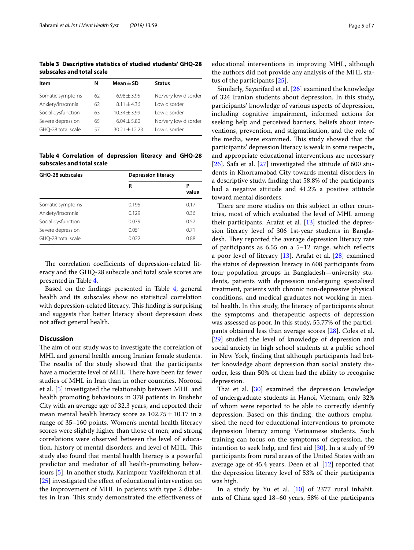<span id="page-4-0"></span>**Table 3 Descriptive statistics of studied students' GHQ-28 subscales and total scale**

| Item               | N  | Mean $\pm$ SD     | <b>Status</b>        |
|--------------------|----|-------------------|----------------------|
| Somatic symptoms   | 62 | $6.98 + 3.95$     | No/very low disorder |
| Anxiety/insomnia   | 62 | $8.11 + 4.36$     | Low disorder         |
| Social dysfunction | 63 | $1034 + 399$      | Low disorder         |
| Severe depression  | 65 | $6.04 + 5.80$     | No/very low disorder |
| GHQ-28 total scale | 57 | $30.21 \pm 12.23$ | Low disorder         |

<span id="page-4-1"></span>**Table 4 Correlation of depression literacy and GHQ-28 subscales and total scale**

| GHQ-28 subscales   | <b>Depression literacy</b> |            |  |  |
|--------------------|----------------------------|------------|--|--|
|                    | R                          | Р<br>value |  |  |
| Somatic symptoms   | 0.195                      | 0.17       |  |  |
| Anxiety/insomnia   | 0.129                      | 0.36       |  |  |
| Social dysfunction | 0.079                      | 0.57       |  |  |
| Severe depression  | 0.051                      | 0.71       |  |  |
| GHQ-28 total scale | 0.022                      | 0.88       |  |  |

The correlation coefficients of depression-related literacy and the GHQ-28 subscale and total scale scores are presented in Table [4](#page-4-1).

Based on the fndings presented in Table [4,](#page-4-1) general health and its subscales show no statistical correlation with depression-related literacy. This finding is surprising and suggests that better literacy about depression does not afect general health.

## **Discussion**

The aim of our study was to investigate the correlation of MHL and general health among Iranian female students. The results of the study showed that the participants have a moderate level of MHL. There have been far fewer studies of MHL in Iran than in other countries. Noroozi et al. [[5\]](#page-6-4) investigated the relationship between MHL and health promoting behaviours in 378 patients in Bushehr City with an average age of 32.3 years, and reported their mean mental health literacy score as  $102.75 \pm 10.17$  in a range of 35–160 points. Women's mental health literacy scores were slightly higher than those of men, and strong correlations were observed between the level of education, history of mental disorders, and level of MHL. This study also found that mental health literacy is a powerful predictor and mediator of all health-promoting behaviours [[5\]](#page-6-4). In another study, Karimpour Vazifekhoran et al. [[25\]](#page-6-22) investigated the effect of educational intervention on the improvement of MHL in patients with type 2 diabetes in Iran. This study demonstrated the effectiveness of

educational interventions in improving MHL, although the authors did not provide any analysis of the MHL status of the participants [[25](#page-6-22)].

Similarly, Sayarifard et al. [[26](#page-6-23)] examined the knowledge of 324 Iranian students about depression. In this study, participants' knowledge of various aspects of depression, including cognitive impairment, informed actions for seeking help and perceived barriers, beliefs about interventions, prevention, and stigmatisation, and the role of the media, were examined. This study showed that the participants' depression literacy is weak in some respects, and appropriate educational interventions are necessary [[26\]](#page-6-23). Safa et al. [[27](#page-6-24)] investigated the attitude of 600 students in Khorramabad City towards mental disorders in a descriptive study, fnding that 58.8% of the participants had a negative attitude and 41.2% a positive attitude toward mental disorders.

There are more studies on this subject in other countries, most of which evaluated the level of MHL among their participants. Arafat et al. [\[13](#page-6-12)] studied the depression literacy level of 306 1st-year students in Bangladesh. They reported the average depression literacy rate of participants as 6.55 on a 5–12 range, which refects a poor level of literacy [[13\]](#page-6-12). Arafat et al. [\[28](#page-6-25)] examined the status of depression literacy in 608 participants from four population groups in Bangladesh—university students, patients with depression undergoing specialised treatment, patients with chronic non-depressive physical conditions, and medical graduates not working in mental health. In this study, the literacy of participants about the symptoms and therapeutic aspects of depression was assessed as poor. In this study, 55.77% of the participants obtained less than average scores [\[28](#page-6-25)]. Coles et al. [[29\]](#page-6-26) studied the level of knowledge of depression and social anxiety in high school students at a public school in New York, fnding that although participants had better knowledge about depression than social anxiety disorder, less than 50% of them had the ability to recognise depression.

Thai et al. [\[30](#page-6-27)] examined the depression knowledge of undergraduate students in Hanoi, Vietnam, only 32% of whom were reported to be able to correctly identify depression. Based on this fnding, the authors emphasised the need for educational interventions to promote depression literacy among Vietnamese students. Such training can focus on the symptoms of depression, the intention to seek help, and frst aid [[30](#page-6-27)]. In a study of 99 participants from rural areas of the United States with an average age of 45.4 years, Deen et al. [[12\]](#page-6-11) reported that the depression literacy level of 53% of their participants was high.

In a study by Yu et al.  $[10]$  $[10]$  of 2377 rural inhabitants of China aged 18–60 years, 58% of the participants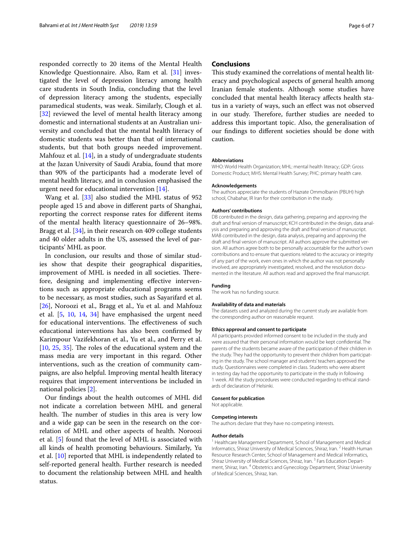responded correctly to 20 items of the Mental Health Knowledge Questionnaire. Also, Ram et al. [[31\]](#page-6-28) investigated the level of depression literacy among health care students in South India, concluding that the level of depression literacy among the students, especially paramedical students, was weak. Similarly, Clough et al. [[32\]](#page-6-29) reviewed the level of mental health literacy among domestic and international students at an Australian university and concluded that the mental health literacy of domestic students was better than that of international students, but that both groups needed improvement. Mahfouz et al.  $[14]$  $[14]$ , in a study of undergraduate students at the Jazan University of Saudi Arabia, found that more than 90% of the participants had a moderate level of mental health literacy, and in conclusion emphasised the urgent need for educational intervention [\[14\]](#page-6-13).

Wang et al. [[33\]](#page-6-30) also studied the MHL status of 952 people aged 15 and above in diferent parts of Shanghai, reporting the correct response rates for diferent items of the mental health literacy questionnaire of 26–98%. Bragg et al. [[34\]](#page-6-31), in their research on 409 college students and 40 older adults in the US, assessed the level of participants' MHL as poor.

In conclusion, our results and those of similar studies show that despite their geographical disparities, improvement of MHL is needed in all societies. Therefore, designing and implementing efective interventions such as appropriate educational programs seems to be necessary, as most studies, such as Sayarifard et al. [[26\]](#page-6-23), Noroozi et al., Bragg et al., Yu et al. and Mahfouz et al. [\[5](#page-6-4), [10,](#page-6-10) [14](#page-6-13), [34](#page-6-31)] have emphasised the urgent need for educational interventions. The effectiveness of such educational interventions has also been confrmed by Karimpour Vazifekhoran et al., Yu et al., and Perry et al.  $[10, 25, 35]$  $[10, 25, 35]$  $[10, 25, 35]$  $[10, 25, 35]$  $[10, 25, 35]$  $[10, 25, 35]$  $[10, 25, 35]$ . The roles of the educational system and the mass media are very important in this regard. Other interventions, such as the creation of community campaigns, are also helpful. Improving mental health literacy requires that improvement interventions be included in national policies [[2\]](#page-6-1).

Our fndings about the health outcomes of MHL did not indicate a correlation between MHL and general health. The number of studies in this area is very low and a wide gap can be seen in the research on the correlation of MHL and other aspects of health. Noroozi et al. [[5](#page-6-4)] found that the level of MHL is associated with all kinds of health promoting behaviours. Similarly, Yu et al. [\[10](#page-6-10)] reported that MHL is independently related to self-reported general health. Further research is needed to document the relationship between MHL and health status.

### **Conclusions**

This study examined the correlations of mental health literacy and psychological aspects of general health among Iranian female students. Although some studies have concluded that mental health literacy afects health status in a variety of ways, such an efect was not observed in our study. Therefore, further studies are needed to address this important topic. Also, the generalisation of our fndings to diferent societies should be done with caution.

#### **Abbreviations**

WHO: World Health Organization; MHL: mental health literacy; GDP: Gross Domestic Product; MHS: Mental Health Survey; PHC: primary health care.

#### **Acknowledgements**

The authors appreciate the students of Hazrate Ommolbanin (PBUH) high school, Chabahar, IR Iran for their contribution in the study.

#### **Authors' contributions**

DB contributed in the design, data gathering, preparing and approving the draft and final version of manuscript; KCH contributed in the design, data analysis and preparing and approving the draft and fnal version of manuscript. MAB contributed in the design, data analysis, preparing and approving the draft and final version of manuscript. All authors approve the submitted version. All authors agree both to be personally accountable for the author's own contributions and to ensure that questions related to the accuracy or integrity of any part of the work, even ones in which the author was not personally involved, are appropriately investigated, resolved, and the resolution documented in the literature. All authors read and approved the fnal manuscript.

#### **Funding**

The work has no funding source.

#### **Availability of data and materials**

The datasets used and analyzed during the current study are available from the corresponding author on reasonable request.

#### **Ethics approval and consent to participate**

All participants provided informed consent to be included in the study and were assured that their personal information would be kept confdential. The parents of the students became aware of the participation of their children in the study. They had the opportunity to prevent their children from participating in the study. The school manager and students' teachers approved the study. Questionnaires were completed in class. Students who were absent in testing day had the opportunity to participate in the study in following 1 week. All the study procedures were conducted regarding to ethical standards of declaration of Helsinki.

#### **Consent for publication**

Not applicable.

#### **Competing interests**

The authors declare that they have no competing interests.

#### **Author details**

<sup>1</sup> Healthcare Management Department, School of Management and Medical Informatics, Shiraz University of Medical Sciences, Shiraz, Iran. 2 Health Human Resource Research Center, School of Management and Medical Informatics, Shiraz University of Medical Sciences, Shiraz, Iran.<sup>3</sup> Fars Education Department, Shiraz, Iran. 4 Obstetrics and Gynecology Department, Shiraz University of Medical Sciences, Shiraz, Iran.